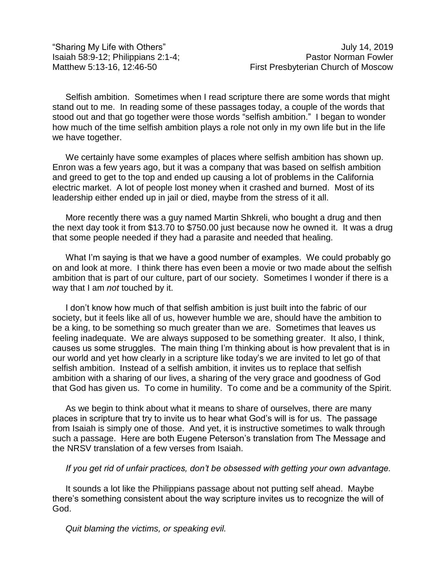"Sharing My Life with Others" July 14, 2019

Selfish ambition. Sometimes when I read scripture there are some words that might stand out to me. In reading some of these passages today, a couple of the words that stood out and that go together were those words "selfish ambition." I began to wonder how much of the time selfish ambition plays a role not only in my own life but in the life we have together.

We certainly have some examples of places where selfish ambition has shown up. Enron was a few years ago, but it was a company that was based on selfish ambition and greed to get to the top and ended up causing a lot of problems in the California electric market. A lot of people lost money when it crashed and burned. Most of its leadership either ended up in jail or died, maybe from the stress of it all.

More recently there was a guy named Martin Shkreli, who bought a drug and then the next day took it from \$13.70 to \$750.00 just because now he owned it. It was a drug that some people needed if they had a parasite and needed that healing.

What I'm saying is that we have a good number of examples. We could probably go on and look at more. I think there has even been a movie or two made about the selfish ambition that is part of our culture, part of our society. Sometimes I wonder if there is a way that I am *not* touched by it.

I don't know how much of that selfish ambition is just built into the fabric of our society, but it feels like all of us, however humble we are, should have the ambition to be a king, to be something so much greater than we are. Sometimes that leaves us feeling inadequate. We are always supposed to be something greater. It also, I think, causes us some struggles. The main thing I'm thinking about is how prevalent that is in our world and yet how clearly in a scripture like today's we are invited to let go of that selfish ambition. Instead of a selfish ambition, it invites us to replace that selfish ambition with a sharing of our lives, a sharing of the very grace and goodness of God that God has given us. To come in humility. To come and be a community of the Spirit.

As we begin to think about what it means to share of ourselves, there are many places in scripture that try to invite us to hear what God's will is for us. The passage from Isaiah is simply one of those. And yet, it is instructive sometimes to walk through such a passage. Here are both Eugene Peterson's translation from The Message and the NRSV translation of a few verses from Isaiah.

## *If you get rid of unfair practices, don't be obsessed with getting your own advantage.*

It sounds a lot like the Philippians passage about not putting self ahead. Maybe there's something consistent about the way scripture invites us to recognize the will of God.

*Quit blaming the victims, or speaking evil.*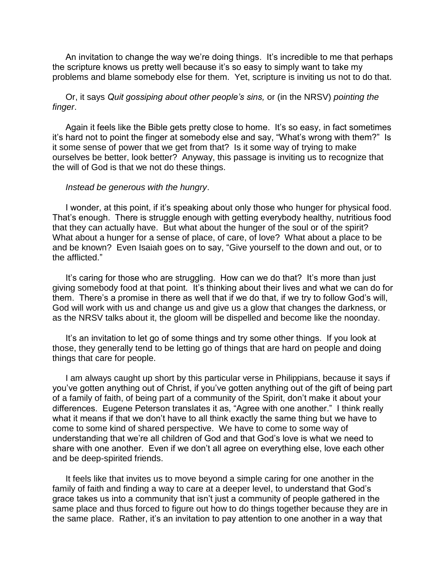An invitation to change the way we're doing things. It's incredible to me that perhaps the scripture knows us pretty well because it's so easy to simply want to take my problems and blame somebody else for them. Yet, scripture is inviting us not to do that.

Or, it says *Quit gossiping about other people's sins,* or (in the NRSV) *pointing the finger*.

Again it feels like the Bible gets pretty close to home. It's so easy, in fact sometimes it's hard not to point the finger at somebody else and say, "What's wrong with them?" Is it some sense of power that we get from that? Is it some way of trying to make ourselves be better, look better? Anyway, this passage is inviting us to recognize that the will of God is that we not do these things.

## *Instead be generous with the hungry*.

I wonder, at this point, if it's speaking about only those who hunger for physical food. That's enough. There is struggle enough with getting everybody healthy, nutritious food that they can actually have. But what about the hunger of the soul or of the spirit? What about a hunger for a sense of place, of care, of love? What about a place to be and be known? Even Isaiah goes on to say, "Give yourself to the down and out, or to the afflicted."

It's caring for those who are struggling. How can we do that? It's more than just giving somebody food at that point. It's thinking about their lives and what we can do for them. There's a promise in there as well that if we do that, if we try to follow God's will, God will work with us and change us and give us a glow that changes the darkness, or as the NRSV talks about it, the gloom will be dispelled and become like the noonday.

It's an invitation to let go of some things and try some other things. If you look at those, they generally tend to be letting go of things that are hard on people and doing things that care for people.

I am always caught up short by this particular verse in Philippians, because it says if you've gotten anything out of Christ, if you've gotten anything out of the gift of being part of a family of faith, of being part of a community of the Spirit, don't make it about your differences. Eugene Peterson translates it as, "Agree with one another." I think really what it means if that we don't have to all think exactly the same thing but we have to come to some kind of shared perspective. We have to come to some way of understanding that we're all children of God and that God's love is what we need to share with one another. Even if we don't all agree on everything else, love each other and be deep-spirited friends.

It feels like that invites us to move beyond a simple caring for one another in the family of faith and finding a way to care at a deeper level, to understand that God's grace takes us into a community that isn't just a community of people gathered in the same place and thus forced to figure out how to do things together because they are in the same place. Rather, it's an invitation to pay attention to one another in a way that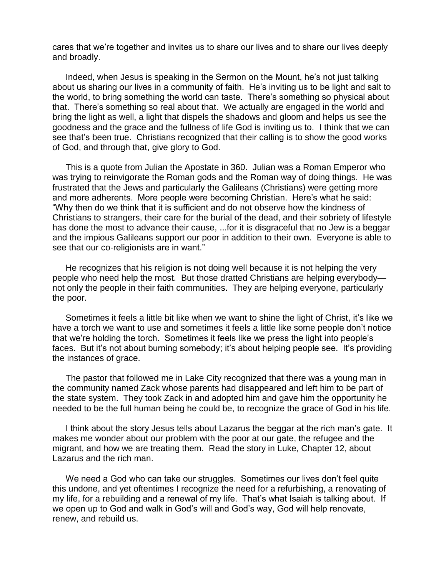cares that we're together and invites us to share our lives and to share our lives deeply and broadly.

Indeed, when Jesus is speaking in the Sermon on the Mount, he's not just talking about us sharing our lives in a community of faith. He's inviting us to be light and salt to the world, to bring something the world can taste. There's something so physical about that. There's something so real about that. We actually are engaged in the world and bring the light as well, a light that dispels the shadows and gloom and helps us see the goodness and the grace and the fullness of life God is inviting us to. I think that we can see that's been true. Christians recognized that their calling is to show the good works of God, and through that, give glory to God.

This is a quote from Julian the Apostate in 360. Julian was a Roman Emperor who was trying to reinvigorate the Roman gods and the Roman way of doing things. He was frustrated that the Jews and particularly the Galileans (Christians) were getting more and more adherents. More people were becoming Christian. Here's what he said: "Why then do we think that it is sufficient and do not observe how the kindness of Christians to strangers, their care for the burial of the dead, and their sobriety of lifestyle has done the most to advance their cause, ...for it is disgraceful that no Jew is a beggar and the impious Galileans support our poor in addition to their own. Everyone is able to see that our co-religionists are in want."

He recognizes that his religion is not doing well because it is not helping the very people who need help the most. But those dratted Christians are helping everybody not only the people in their faith communities. They are helping everyone, particularly the poor.

Sometimes it feels a little bit like when we want to shine the light of Christ, it's like we have a torch we want to use and sometimes it feels a little like some people don't notice that we're holding the torch. Sometimes it feels like we press the light into people's faces. But it's not about burning somebody; it's about helping people see. It's providing the instances of grace.

The pastor that followed me in Lake City recognized that there was a young man in the community named Zack whose parents had disappeared and left him to be part of the state system. They took Zack in and adopted him and gave him the opportunity he needed to be the full human being he could be, to recognize the grace of God in his life.

I think about the story Jesus tells about Lazarus the beggar at the rich man's gate. It makes me wonder about our problem with the poor at our gate, the refugee and the migrant, and how we are treating them. Read the story in Luke, Chapter 12, about Lazarus and the rich man.

We need a God who can take our struggles. Sometimes our lives don't feel quite this undone, and yet oftentimes I recognize the need for a refurbishing, a renovating of my life, for a rebuilding and a renewal of my life. That's what Isaiah is talking about. If we open up to God and walk in God's will and God's way, God will help renovate, renew, and rebuild us.